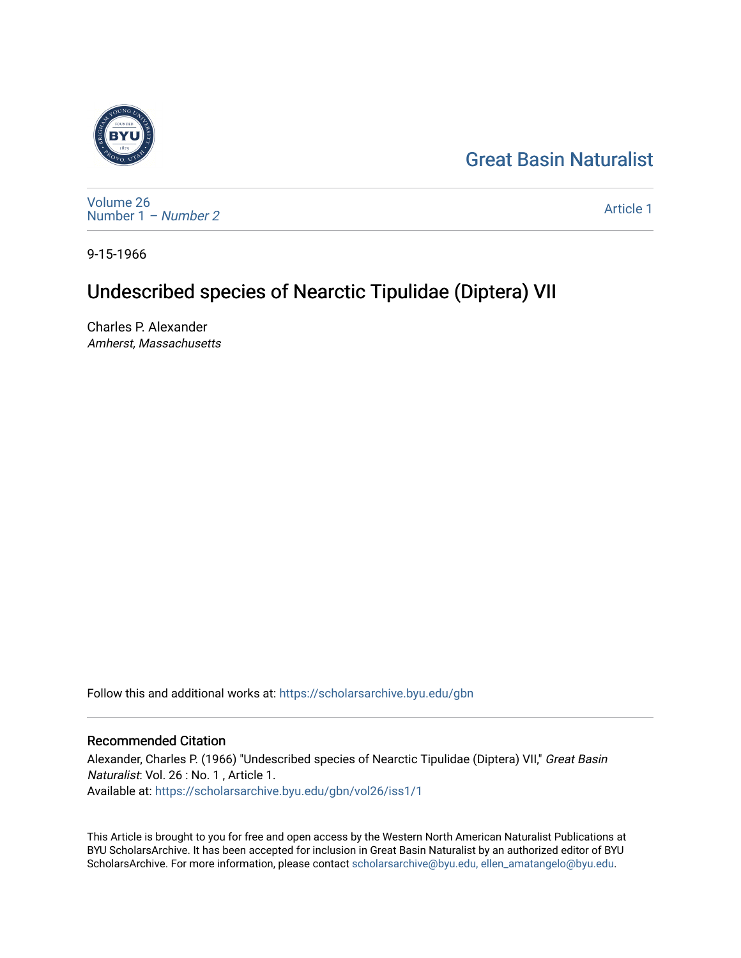## [Great Basin Naturalist](https://scholarsarchive.byu.edu/gbn)



[Volume 26](https://scholarsarchive.byu.edu/gbn/vol26) [Number 1](https://scholarsarchive.byu.edu/gbn/vol26/iss1) – Number 2

[Article 1](https://scholarsarchive.byu.edu/gbn/vol26/iss1/1) 

9-15-1966

## Undescribed species of Nearctic Tipulidae (Diptera) VII

Charles P. Alexander Amherst, Massachusetts

Follow this and additional works at: [https://scholarsarchive.byu.edu/gbn](https://scholarsarchive.byu.edu/gbn?utm_source=scholarsarchive.byu.edu%2Fgbn%2Fvol26%2Fiss1%2F1&utm_medium=PDF&utm_campaign=PDFCoverPages) 

## Recommended Citation

Alexander, Charles P. (1966) "Undescribed species of Nearctic Tipulidae (Diptera) VII," Great Basin Naturalist: Vol. 26 : No. 1 , Article 1. Available at: [https://scholarsarchive.byu.edu/gbn/vol26/iss1/1](https://scholarsarchive.byu.edu/gbn/vol26/iss1/1?utm_source=scholarsarchive.byu.edu%2Fgbn%2Fvol26%2Fiss1%2F1&utm_medium=PDF&utm_campaign=PDFCoverPages)

This Article is brought to you for free and open access by the Western North American Naturalist Publications at BYU ScholarsArchive. It has been accepted for inclusion in Great Basin Naturalist by an authorized editor of BYU ScholarsArchive. For more information, please contact [scholarsarchive@byu.edu, ellen\\_amatangelo@byu.edu.](mailto:scholarsarchive@byu.edu,%20ellen_amatangelo@byu.edu)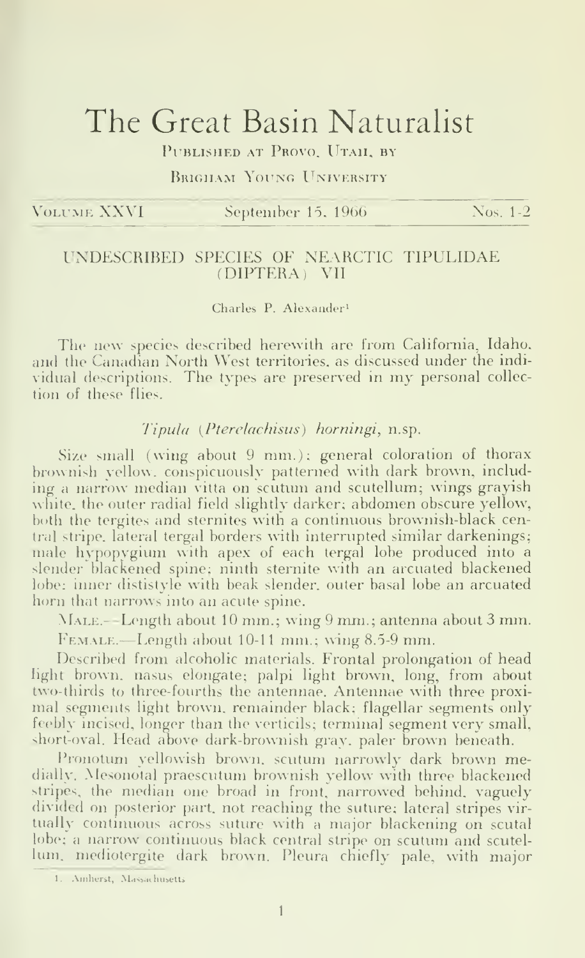# The Great Basin Naturalist

PUBLISHED AT PROVO. UTAH. BY

Rrigham Young University

|  | VOLUME XXVI |  |  |  |
|--|-------------|--|--|--|

September 15, 1966 Nos. 1-2

### UNDESCRIBED SPECIES OF NEARCTIC TIPULIDAE (DIPTERA) VII

#### Charles P. Alexander'

The new species described herewith are from California, Idaho, and the Canadian North West territories, as discussed under the indi vidual descriptions. The types are preserved in my personal collec tion of these flies.

#### Tipula (Pterelachisus) horningi, n.sp.

Size small (wing about 9 mm.); general coloration of thorax brownish yellow, conspicuously patterned with dark brown, including a narrow median vitta on scutum and scutellum; wings grayish white, the outer radial field slightly darker; abdomen obscure yellow, both the tergites and sternites with a continuous brownish-black central stripe, lateral tergal borders with interrupted similar darkenings; male hypopygium with apex of each tergal lobe produced into a slender blackened spine; ninth stemite with an arcuated blackened lobe; inner dististyle with beak slender, outer basal lobe an arcuated horn that narrows into an acute spine.

-Male.—Length about <sup>10</sup> mm.; wing <sup>9</sup> mm.; antenna about <sup>3</sup> mm.

 $F_{\text{EMALE}}$ . Length about 10-11 mm.; wing 8.5-9 mm.

Described from alcoholic materials. Frontal prolongation of head light brown, nasus elongate; palpi light brown, long, from about two-thirds to three-fourths the antennae. Antennae with three proximal segments light brown, remainder black; flagellar segments only feebly incised, longer than the verticils; terminal segment very small, short-oval. Head above dark-brownish gray, paler brown beneath.

Pronotum yellowish brown, scutum narrowly dark brown medially. Mesonotal praescutum brownish yellow with three blackened stripes, the median one broad in front, narrowed behind, vaguely divided on posterior part, not reaching the suture; lateral stripes vir tually continuous across suture with a major blackening on scutal lobe; <sup>a</sup> narrow continuous black central stripe on scutum and scutel lum, mediotergite dark brown. Pleura chiefly pale, with major

I. .\iiiherst, Massachusetts.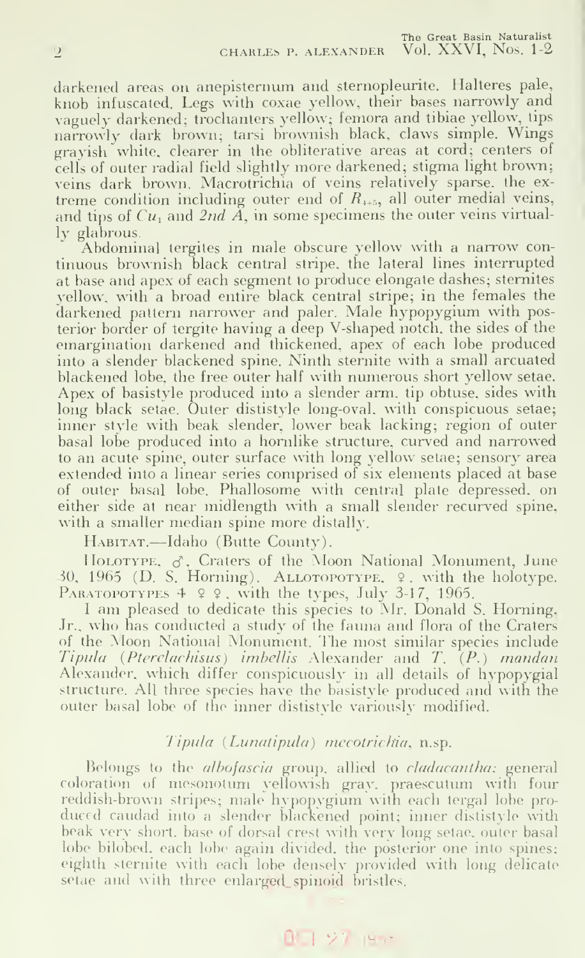darkened areas on anepisternum and sternopleurite. Halteres pale, knob infuscated. Legs with coxae yellow, their bases narrowly and vaguely darkened; trochanters yellow; femora and tibiae yellow, tips narrowly dark brown; tarsi brownish black, claws simple. Wings grayish white, clearer in the obliterative areas at cord; centers of cells of outer radial field slightly more darkened; stigma light brown; veins dark brown. Macrotrichia of veins relatively sparse, the extreme condition including outer end of  $R_{++5}$ , all outer medial veins, and tips of  $Cu_1$  and  $2nd \tilde{A}$ , in some specimens the outer veins virtually glabrous.

Abdominal tergites in male obscure yellow with a narrow con tinuous brownish black central stripe, the lateral lines interrupted at base and apex of each segment to produce elongate dashes; stemites yellow, with a broad entire black central stripe; in the females the darkened pattern narrower and paler. Male hypopygium with posterior border of tergite having a deep V-shaped notch, the sides of the emargination darkened and thickened, apex of each lobe produced into a slender blackened spine. Ninth sternite with a small arcuated blackened lobe, the free outer half with numerous short yellow setae. Apex of basistyle produced into a slender arm. tip obtuse, sides with long black setae. Outer dististyle long-oval, with conspicuous setae; inner style with beak slender, lower beak lacking; region of outer basal lobe produced into a hornlike structure, curved and narrowed to an acute spine, outer surface with long yellow setae; sensory area extended into a linear series comprised of six elements placed at base of outer basal lobe. Phallosome with central plate depressed, on either side at near midlength with a small slender recurved spine. with a smaller median spine more distally.

Habitat.—Idaho (Butte County).

HOLOTYPE,  $\sigma$ . Craters of the Moon National Monument, June 30, 1965 (D. S. Horning). ALLOTOPOTYPE,  $\varphi$ , with the holotype. PARATOPOTYPES  $4 \times 2$ , with the types, July 3-17, 1965.

<sup>I</sup> am pleased to dedicate this species to Mr. Donald S. Horning, Jr., who has conducted <sup>a</sup> study of the fauna and flora of the Craters of the Moon National Monument. The most similar species include  $Tipula$  (Pterelachisus) imbellis Alexander and  $T_a(P.)$  mandan Alexander, which differ conspicuously in all details of hypopygial structure. All three species have the basistyle produced and with the outer basal lobe of the inner dististyle variously modified.

### Tipula (Lunatipula) mecotrichia, n.sp.

Belongs to the *albofascia* group, allied to *cladacantha*; general coloration of mesonotum yellowish gray, praescutum with four reddish-brown stripes; male hypopygium with each tergal lobe pro duced caudad into a slender blackened point; inner dististyle with beak very short, base of dorsal crest with very long setae, outer basal lobe bilobed, each lobe again divided, the posterior one into spines; eighth sternite with each lobe densely provided with long delicate setae and with three enlarged\_spinoid bristles.

### $0.127$  lybec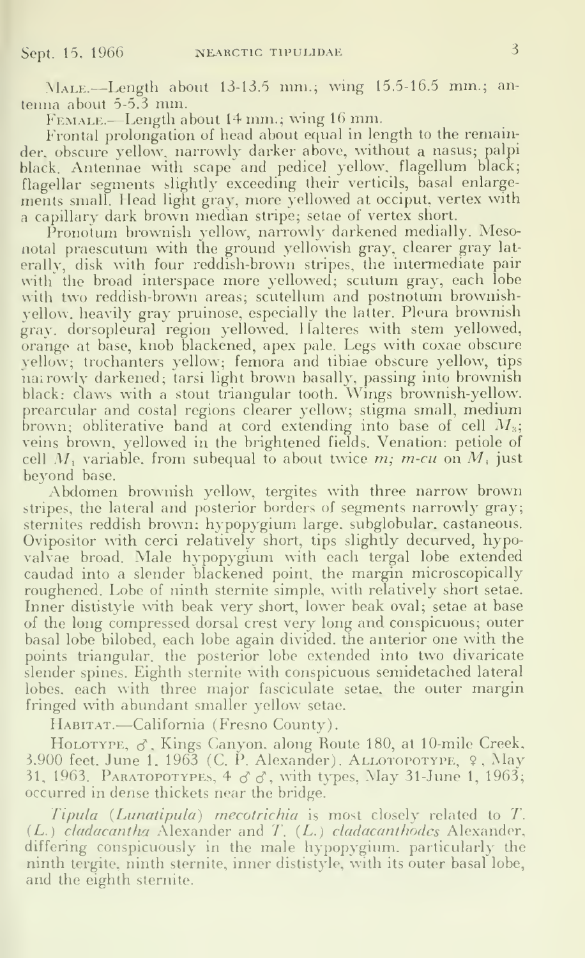Male.—Length about 13-13.5 mni.; wing 15.5-16.5 mm.; an tenna about 5-5.3 mm.

Female.—Length about <sup>14</sup> mm.; wing <sup>16</sup> mm.

Frontal prolongation of head about equal in length to the remainder, obscure yellow, narrowly darker above, without a nasus; palpi black. Antennae with scape and pedicel yellow, flagellum black; flagellar segments slightly exceeding their verticils, basal enlargements small. Head light gray, more yellowed at occiput, vertex with <sup>a</sup> capillary dark brown median stripe; setae of vertex short.

Pronotum brownish yellow, narrowly darkened medially. Mesonotal praescutum with the ground yellowish gray, clearer gray laterally, disk with four reddish-brown stripes, the intermediate pair with the broad interspace more yellowed; scutum gray, each lobe with two reddish-brown areas; scutellum and postnotum brownishyellow, heavily gray pruinose, especially the latter. Pleura brownish gray, dorsopleural region yellowed. <sup>1</sup> lalteres with stem yellowed, orange at base, knob blackened, apex pale. Legs with coxae obscure yellow; trochanters yellow; femora and tibiae obscure yellow, tips nairowly darkened; tarsi light brown basally, passing into brownish black; claws with <sup>a</sup> stout triangular tooth. Wings brownish-yellow, prearcular and costal regions clearer yellow; stigma small, medium brown; obliterative band at cord extending into base of cell  $M_3;\;\;\;\;\;$ veins brown, yellowed in the brightened fields. Venation: petiole of cell M, variable, from subequal to about twice  $m$ ;  $m$ -cu on M, just beyond base.

Abdomen brownish yellow, tergites with three narrow brown stripes, the lateral and posterior borders of segments narrowly gray; sternites reddish brown; hypopygium large, subglobular, castaneous. Ovipositor with cerci relatively short, tips slightly decurved, hypovalvae broad. Male hypopygium with each tergal lobe extended caudad into a slender blackened point, the margin microscopically roughened. Lobe of ninth stemite simple, with relatively short setae. Inner dististyle with beak very short, lower beak oval; setae at base of the long compressed dorsal crest very long and conspicuous; outer basal lobe bilobed, each lobe again divided, the anterior one with the points triangular, the posterior lobe extended into two divaricate slender spines. Eighth sternite with conspicuous semidetached lateral lobes, each with three major fasciculate setae, the outer margin fringed with abundant smaller yellow setae.

Habitat.—California (Fresno County).

HOLOTYPE,  $\sigma$ . Kings Canyon, along Route 180, at 10-mile Creek, 3.900 feet. June 1, 1963 (C. P. Alexander). ALLOTOPOTYPE, 9, May 31, 1963. PARATOPOTYPES,  $4 \circ \circ$ , with types, May 31-June 1, 1963; occurred in dense thickets near the bridge.

Tipula (Lunatipula) mecotrichia is most closely related to T. (L.) cladacantha Alexander and 7'. (L.) cladacanthodes Alexander, differing conspicuously in the male hypopygium, particularly the ninth tergite, ninth stemite, inner dististyle, with its outer basal lobe, and the eighth stemite.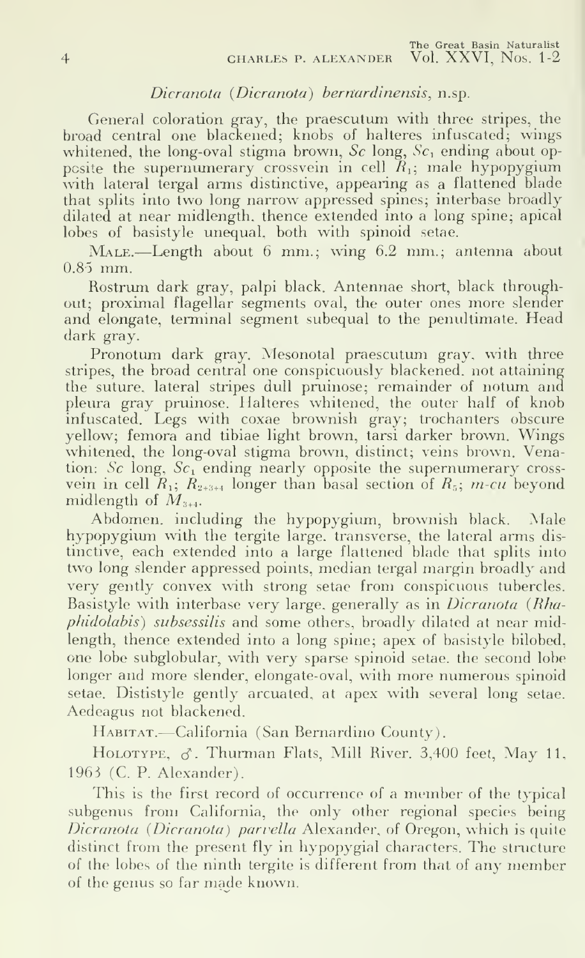#### Dicranota (Dicranota) bernardinensis, n.sp.

General coloration gray, the praescutum with three stripes, the broad central one blacxened; knobs of halteres infuscated; wings whitened, the long-oval stigma brown,  $Sc$  long,  $Sc<sub>1</sub>$  ending about opposite the supernumerary crossvein in cell  $R_1$ ; male hypopygium with lateral tergal arms distinctive, appearing as a flattened blade that splits into two long narrow appressed spines; interbase broadly dilated at near midlength, thence extended into a long spine; apical lobes of basistyle unequal, both with spinoid setae.

Male.—Length about <sup>6</sup> mm.; wing 6.2 mm.; antenna about 0.85 mm.

Rostrum dark gray, palpi black. Antennae short, black throughout; proximal flagellar segments oval, the outer ones more slender and elongate, terminal segment subequal to the penultimate. Head dark gray.

Pronotum dark gray. Mesonotal praescutum gray, with three stripes, the broad central one conspicuously blackened, not attaining the suture, lateral stripes dull pruinose; remainder of notum and pleura gray pruinose. Halteres whitened, the outer half of knob infuscated. Legs with coxae brownish gray; trochanters obscure yellow; femora and tibiae light brown, tarsi darker brown. Wings whitened, the long-oval stigma brown, distinct; veins brown. Venation: Sc long,  $Sc<sub>1</sub>$  ending nearly opposite the supernumerary crossvein in cell  $R_1$ ;  $R_{2+3+4}$  longer than basal section of  $R_5$ ; *m-cu* beyond midlength of  $M_{\text{max}}$ .

Abdomen, including the hypopygium, brownish black. Male hypopygium with the tergite large, transverse, the lateral arms distinctive, each extended into a large flattened blade that splits into two long slender appressed points, median tergal margin broadly and very gently convex with strong setae from conspicuous tubercles. Basistyle with interbase very large, generally as in *Dicranota (Rha*phidolabis) subsessilis and some others, broadly dilated at near midlength, thence extended into a long spine; apex of basistyle bilobed, one lobe subglobular, with very sparse spinoid setae, the second lobe longer and more slender, elongate-oval, with more numerous spinoid setae. Dististyle gently arcuated, at apex with several long setae. Aedeagus not blackened.

Habitat.—California (San Bernardino County).

HOLOTYPE,  $\sigma$ . Thurman Flats, Mill River. 3,400 feet, May 11, 1963 (C. P. Alexander).

This is the first record of occurrence of <sup>a</sup> member of the typical subgenus from California, the only other regional species being Dicranota (Dicranota) parvella Alexander, of Oregon, which is quite distinct from the present fly in hypopygial characters. The structure of the lobes of the ninth tergite is different from that of any member of the genus so far made known.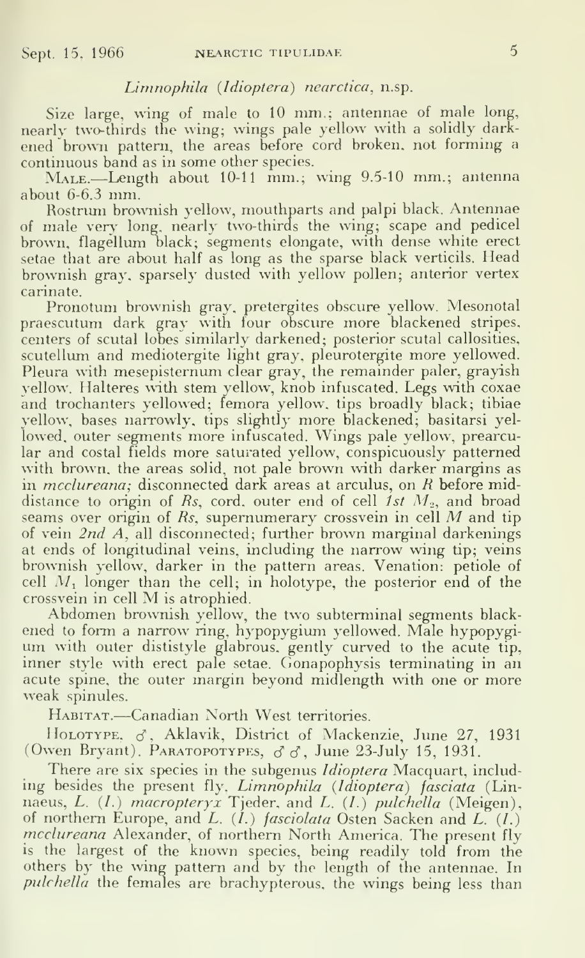#### Limnophila {Idioptera) nearctica, n.sp.

Size large, wing of male to 10 mm.; antennae of male long, nearly two-thirds the wing; wings pale yellow with a solidly darkened brown pattern, the areas before cord broken, not forming <sup>a</sup> continuous band as in some other species.

MALE.—Length about 10-11 mm.; wing 9.5-10 mm.; antenna about 6-6.3 mm.

Rostrum brownish yellow, mouthparts and palpi black. Antennae of male very long, nearly two-thirds the wing; scape and pedicel brown, flagellum black; segments elongate, with dense white erect setae that are about half as long as the sparse black verticils. Mead brownish gray, sparsely dusted with yellow pollen; anterior vertex carinate.

Pronotum brownish gray, pretergites obscure yellow. Mesonotal praescutum dark gray with four obscure more blackened stripes, centers of scutal lobes similarly darkened; posterior scutal callosities, scutellum and mediotergite light gray, pleurotergite more yellowed. Pleura with mesepisternum clear gray, the remainder paler, grayish yellow. Halteres with stem yellow, knob infuscated. Legs with coxae and trochanters yellowed; femora yellow, tips broadly black; tibiae yellow, bases narrowly, tips slightly more blackened; basitarsi yellowed, outer segments more infuscated. Wings pale yellow, prearcular and costal fields more saturated yellow, conspicuously patterned with brown, the areas solid, not pale brown with darker margins as in *mcclureana*; disconnected dark areas at arculus, on R before middistance to origin of  $Rs$ , cord, outer end of cell ist  $M<sub>o</sub>$ , and broad seams over origin of  $\mathbb{R}s$ , supernumerary crossvein in cell  $M$  and tip of vein 2nd A, all disconnected; further brown marginal darkenings at ends of longitudinal veins, including the narrow wing tip; veins brownish yellow, darker in the pattern areas. Venation: petiole of cell  $M_1$  longer than the cell; in holotype, the posterior end of the crossvein in cell M is atrophied.

Abdomen brownish yellow, the two subterminal segments blackened to form <sup>a</sup> narrow ring, hypopygium yellowed. Male hypopygium with outer dististyle glabrous, gently curved to the acute tip, inner style with erect pale setae. Cionapophysis terminating in an acute spine, the outer margin beyond midlength with one or more weak spinules.

Habitat.—Canadian North West territories.

HOLOTYPE,  $\sigma$ , Aklavik, District of Mackenzie, June 27, 1931 (Owen Bryant). PARATOPOTYPES,  $\sigma \sigma$ , June 23-July 15, 1931.

There are six species in the subgenus *Idioptera* Macquart, including besides the present fly. Limnophila (Idioptera) fasciata (Linnaeus, *L. (1.) macropteryx* Tjeder, and *L. (1.) pulchella* (Meigen), of northern Europe, and  $L$ .  $(l_{\cdot})$  fasciolata Osten Sacken and  $L_{\cdot}$   $(l_{\cdot})$ mcclureana Alexander, of northern North America. The present fly is the largest of the known species, being readily told from the others by the wing pattern and by the length of the antennae. In pulchella the females are brachypterous, the wings being less than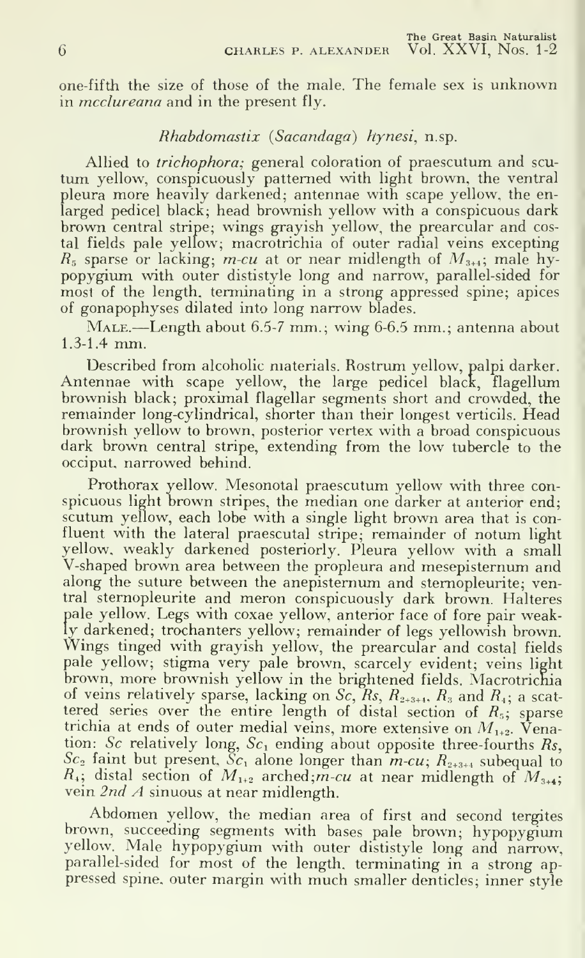one-fifth the size of those of the male. The female sex is unknown in *mcclureana* and in the present fly.

#### Rhabdomastix {Sacandaga) hynesi, n.sp.

Allied to trichophora; general coloration of praescutum and scu tum yellow, conspicuously patterned with light brown, the ventral pleura more heavily darkened; antennae with scape yellow, the en larged pedicel black; head brownish yellow with a conspicuous dark brown central stripe; wings grayish yellow, the prearcular and costal fields pale yellow; macrotrichia of outer radial veins excepting  $R_5$  sparse or lacking; m-cu at or near midlength of  $M_{3+4}$ ; male hypopygium with outer dististyle long and narrow, parallel-sided for most of the length, terminating in a strong appressed spine; apices of gonapophyses dilated into long narrow blades.

Male.—Length about 6.5-7 mm.; wing 6-6.5 mm.; antenna about 1.3-1.4 mm.

Described from alcoholic materials. Rostrum yellow, palpi darker. Antennae with scape yellow, the large pedicel black, flagellum brownish black; proximal flagellar segments short and crowded, the remainder long-cylindrical, shorter than their longest verticils. Head brownish yellow to brown, posterior vertex with a broad conspicuous dark brown central stripe, extending from the low tubercle to the occiput, narrowed behind.

Prothorax yellow. Mesonotal praescutum yellow with three con spicuous light brown stripes, the median one darker at anterior end; scutum yellow, each lobe with a single light brown area that is confluent with the lateral praescutal stripe; remainder of notum light yellow, weakly darkened posteriorly. Pleura yellow with a small V-shaped brown area between the propleura and mesepisternum and along the suture between the anepisternum and sternopleurite; ventral sternopleurite and meron conspicuously dark brown. Halteres pale yellow. Legs with coxae yellow, anterior face of fore pair weakly darkened; trochanters yellow; remainder of legs yellowish brown. Wings tinged with grayish yellow, the prearcular and costal fields pale yellow; stigma very pale brown, scarcely evident; veins light brown, more brownish yellow in the brightened fields. Macrotrichia of veins relatively sparse, lacking on Sc, Rs,  $R_{2+3+4}$ ,  $R_{3}$  and  $R_{4}$ ; a scattered series over the entire length of distal section of  $R_s$ ; sparse trichia at ends of outer medial veins, more extensive on  $M_{1+2}$ . Venation: Sc relatively long,  $Sc<sub>1</sub>$  ending about opposite three-fourths Rs,  $Sc<sub>2</sub>$  faint but present.  $Sc<sub>1</sub>$  alone longer than  $m-cu$ ;  $R<sub>2+3+4</sub>$  subequal to  $R_4$ ; distal section of  $M_{1+2}$  arched;m-cu at near midlength of  $M_{3+4}$ ; vein 2nd A sinuous at near midlength.

Abdomen yellow, the median area of first and second tergites brown, succeeding segments with bases pale brown; hypopygium yellow. Male hypopygium with outer dististyle long and narrow, parallel-sided for most of the length, terminating in a strong ap pressed spine, outer margin with much smaller denticles; inner style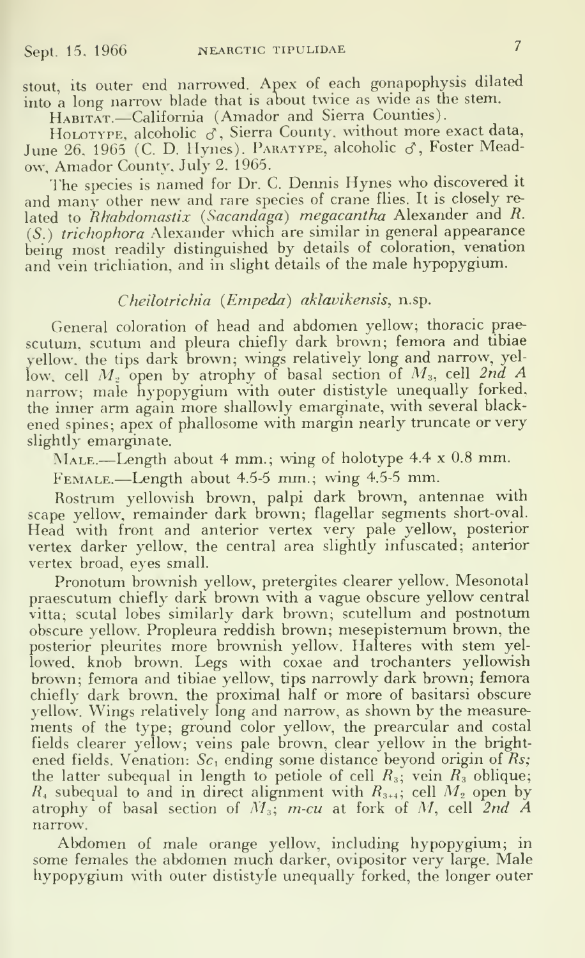stout, its outer end narrowed. Apex of each gonapophysis dilated into a long narrow blade that is about twice as wide as the stem.

HABITAT.-California (Amador and Sierra Counties).

HOLOTYPE, alcoholic  $\vec{\sigma}$ . Sierra County, without more exact data. June 26, 1965 (C. D. Hynes). PARATYPE, alcoholic & Foster Meadow, Amador County, July 2. 1965.

The species is named for Dr. C. Dennis Hynes who discovered it and many other new and rare species of crane flies. It is closely re lated to Rhabdomastix (Sacandaga) megacantha Alexander and R.  $(S<sub>n</sub>)$  trichophora Alexander which are similar in general appearance being most readily distinguished by details of coloration, venation and vein trichiation, and in slight details of the male hypopygium.

### Cheilotrichia (Empeda) aklavikensis, n.sp.

General coloration of head and abdomen yellow; thoracic prae scutum, scutum and pleura chiefly dark brown; femora and tibiae yellow, the tips dark brown; wings relatively long and narrow, yellow, cell  $M<sub>x</sub>$  open by atrophy of basal section of  $M<sub>x</sub>$ , cell 2nd A narrow; male hypopygium with outer dististyle unequally forked, the inner arm again more shallowly emarginate, with several blackened spines; apex of phallosome with margin nearly truncate or very slightly emarginate.

MALE.—Length about 4 mm.; wing of holotype 4.4 x 0.8 mm.

Female.—Length about 4.5-5 mm.; wing 4.5-5 mm.

Rostrum yellowish brown, palpi dark brown, antennae with scape yellow, remainder dark brown; flagellar segments short-oval. Head with front and anterior vertex very pale yellow, posterior vertex darker yellow, the central area slightly infuscated; anterior vertex broad, eyes small.

Pronotum brownish yellow, pretergites clearer yellow. Mesonotal praescutum chiefly dark brown with a vague obscure yellow central vitta; scutal lobes similarly dark brown; scutellum and postnotum obscure yellow. Propleura reddish brown; mesepistemum brown, the posterior pleurites more brownish yellow. Halteres with stem yellowed, knob brown. Legs with coxae and trochanters yellowish brown; femora and tibiae yellow, tips narrowly dark brown; femora chiefly dark brown, the proximal half or more of basitarsi obscure yellow. Wings relatively long and narrow, as shown by the measure ments of the type; ground color yellow, the prearcular and costal fields clearer yellow; veins pale brown, clear yellow in the brightened fields. Venation:  $Sc_1$  ending some distance beyond origin of  $Rs$ ; the latter subequal in length to petiole of cell  $R_3$ ; vein  $R_3$  oblique;  $R_{\ast}$  subequal to and in direct alignment with  $R_{\scriptscriptstyle 3+4};$  cell  $M_{\scriptscriptstyle 2}$  open by atrophy of basal section of  $M_3$ ; m-cu at fork of M, cell 2nd A narrow.

Abdomen of male orange yellow, including hypopygium; in some females the abdomen much darker, ovipositor very large. Male hypopygium with outer dististyle unequally forked, the longer outer